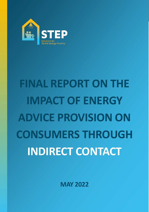

# **FINAL REPORT ON THE IMPACT OF ENERGY ADVICE PROVISION ON CONSUMERS THROUGH INDIRECT CONTACT**

**MAY 2022**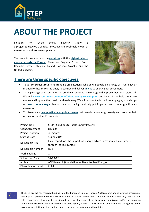

# <span id="page-1-0"></span>**ABOUT THE PROJECT**

Solutions to Tackle Energy Poverty (STEP) is a project to develop a simple, innovative and replicable model of measures to address energy poverty.

The project covers some of the **[countries](https://www.stepenergy.eu/partners/)** with the **[highest rates of](https://www.energypoverty.eu/)  [energy poverty in Europe](https://www.energypoverty.eu/)**. These are Bulgaria, Cyprus, Czech Republic, Latvia, Lithuania, Poland, Portugal, Slovakia and the United Kingdom.



### **There are three specific objectives:**

- To get consumer groups and frontline organisations, who advise people on a range of issues such as financial or health-related ones, to partner and deliver **[advice](https://www.stepenergy.eu/news/)** to energy poor consumers.
- To help energy poor consumers across the 9 countries save energy and improve their living standard. We will **advise consumers on more efficient energy consumption** and how this can help them save money and improve their health and well-being. We will carry out information campaigns, provide tips on **[how to save energy](https://www.stepenergy.eu/resources/)**, demonstrate cost savings and help put in place low-cost energy efficiency measures.
- To disseminate **[best practices and policy choices](https://www.stepenergy.eu/results/)** that can alleviate energy poverty and promote their replication in other EU countries.

| Project Title              | STEP - Solutions to Tackle Energy Poverty                          |  |  |  |  |
|----------------------------|--------------------------------------------------------------------|--|--|--|--|
| <b>Grant Agreement</b>     | 847080                                                             |  |  |  |  |
| <b>Project Duration</b>    | 36 months                                                          |  |  |  |  |
| <b>Starting Date</b>       | 1 June 2019                                                        |  |  |  |  |
| Deliverable Title          | Final report on the impact of energy advice provision on consumers |  |  |  |  |
|                            | through indirect contact                                           |  |  |  |  |
| Deliverable Number         | D <sub>1.5</sub>                                                   |  |  |  |  |
| Work Package               | 1                                                                  |  |  |  |  |
| <b>Submission Date</b>     | 31/05/22                                                           |  |  |  |  |
| Author                     | ACE Research (Association for Decentralised Energy).               |  |  |  |  |
| <b>Dissemination Level</b> | Public                                                             |  |  |  |  |

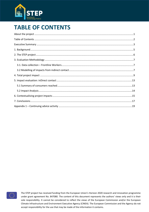

### <span id="page-2-0"></span>**TABLE OF CONTENTS**

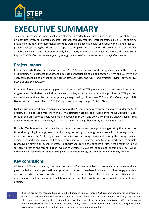

# <span id="page-3-0"></span>**EXECUTIVE SUMMARY**

This report presents the impact evaluation of advice provided to consumers under the STEP project, focusing on activities involving indirect consumer contact, through frontline workers trained by STEP partners to provide energy advise to their clients. Frontline workers include e.g. health and social workers and other care professionals, providing health and social support to people in need of support. The STEP project also included activities involving advice provision directly by partners, the impacts of which are discussed separately in Report *D1.4 Final report on the impact of energy advice provision on consumers through direct contact*.

#### **Project impact**

In total, across both direct and indirect contact, 16,507 consumers received energy saving advice through the STEP project. It is estimated that potential savings per household could be between 2MWh and 2.3 MWh per year, corresponding to annual bill savings of between €100 and €124, and emission savings between 372  $kCO<sub>2</sub>e/yr$  and 543  $kCO<sub>2</sub>e/yr$ .

Estimates of total project impact suggest that the impacts of the STEP project significantly exceeded the project targets. Across both direct and indirect advice activities, it is estimated that advice provided by STEP partners and frontline workers likely achieved primary energy savings of between 32.9 and 38.4 GWh (target 17.78 GWh), and between 6,100 and 8,970 tCO<sub>2</sub>eq emission savings (target: 2,869 tCO<sub>2</sub>eq).

Looking just at indirect advice activities, a total of 8,455 consumers were engaged indirectly under the STEP project, by collaborating frontline workers. We estimate that advice provided by frontline workers, trained through the STEP project, likely resulted in between 16.9 GWh and 19.7 GWh primary energy savings, cost savings between  $\epsilon$ 849,000 and  $\epsilon$ 1,050,000, and emission savings between 3,150 and 4,595 tCO<sub>2</sub>e.

Notably, COVID lockdowns will have had an impact on consumers' energy bills, aggravating the impacts for those already living in energy poverty, and pushing previously non energy poor households into energy poverty as a result. While the STEP project aimed to deliver overall energy savings, it is likely that energy savings achieved by participants as a result of advice provided by STEP partners and frontline workers were actually (partially) off-setting an overall increase in energy use during the pandemic, rather than resulting in net savings. Moreover, the recent Russian invasion of Ukraine in 2022 has led to global energy price rises, which ultimately will see more households struggling to pay their energy bills and pushed into energy poverty.

#### **Key conclusions**

While it is difficult to quantify, precisely, the impact of advice provided to consumers by frontline workers, given the lack of data (impact estimates provided in this report are based on data from direct engagements in one-to-one advice sessions, which may not be directly transferable to the indirect advice activities), it is nonetheless clear that this form of collaboration can contribute significantly to the reach and impacts of a project.

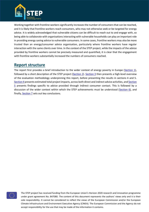

Working together with frontline workers significantly increases the number of consumers that can be reached, and it is likely that frontline workers reach consumers, who may not otherwise seek or be targeted for energy advice. It is widely acknowledged that vulnerable citizens can be difficult to reach out to and engage with, so being able to collaborate with organisations interacting with vulnerable households can play an important role in providing energy saving advice to vulnerable consumers. In some cases, frontline workers may also be more trusted than an energy/consumer advice organisation, particularly where frontline workers have regular interaction with the same clients over time. In the context of the STEP project, while the impacts of the advice provided by frontline workers cannot be precisely measured and quantified, it is clear that the engagement with frontline workers substantially increased the numbers of consumers reached.

#### **Report structure**

The report first provides a brief introduction to the wider context of energy poverty in Europe (Section 1), followed by a short description of the STEP project (Section 2). Section 3 then presents a high-level overview of the evaluation methodology underpinning this report, before presenting the results in sections 4 and 5. [Section 4](#page-9-0) presents estimated total project impacts, across both direct and indirect advice activities, and Section 5 presents findings specific to advice provided through indirect consumer contact. This is followed by a discussion of the wider context within which the STEP achievements must be understood (Section 6), and finally, **Section 7** sets out key conclusions.

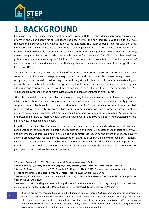

## <span id="page-5-0"></span>**1. BACKGROUND**

Energy poverty is gaining increasing attention across Europe, with the EU embedding energy poverty as a policy priority in the Clean Energy for all Europeans Package. In 2021, the new package, dubbed 'Fit for 55', was released and is currently being negotiated by EU co-legislators. The latter package (together with the latest REPowerEU initiative) is an update to the European energy policy framework to facilitate the transition away from fossil fuels towards cleaner energy and to deliver on the EU's Paris Agreement commitments for reducing greenhouse gas emissions to provide considerable benefits for consumers<sup>1</sup>. The STEP project has developed policy recommendations (see report D6.3 from 2020 and report D6.6 from 2021) for the improvement of national energy policies and advocated for effective policies and schemes for investment in energy efficiency (see report D6.5).

The nature of the issue, as well as the level of attention, varies from country to country, however, some countries do not currently recognise energy poverty as a distinct issue. And where energy poverty is recognised, barriers remain to addressing it. In particular, at the EU level, lack of common understandings of approaches and metrics to monitor energy poverty has been stressed as key barriers to monitoring and addressing energy poverty<sup>2</sup>. To see how different partners in the STEP project define energy poverty see D5.3 "Final Report summarizing the energy advice provided to consumers through direct contact".

The role of specialist advice in combatting energy poverty is well documented and follow-up surveys from advice sessions have been used to good effect in the past: in one case study, a specialist charity providing support to vulnerable households in inner London found that 65% reported being warmer at home and 46% reported reduced costs, after receiving advice, while another charity, focusing on providing advice to ethnic minority households, reported that 67% said their home was warmer and less damp, 84% had a better understanding of how to improve health through staying warm, and 80% had a better understanding of fuel bills and how to manage energy use<sup>3</sup>.

Even though a key incentive for delivering energy advice to alleviate energy poverty is to reduce bills (a crucial consideration in the current context of the energy price crisis and rising living costs), other important incentives and benefits include improved health, wellbeing and comfort. Moreover, to the extent that energy poverty action is associated with reduced energy consumption (e.g. through energy efficiency improvements), benefits include carbon emission savings. Notably, this may also be a motivator for those living in energy poverty, as found in a study in Hull (UK), where nearly 40% of participating households stated their motivation for participating was to reduce their carbon emissions<sup>4</sup>.

<sup>4</sup> Ramsden, S., 2020. Tackling fuel poverty through household advice and support: Exploring the impacts of a charity-led project in a disadvantaged city in the United Kingdom. Energy Research & Social Science, p. Volume 70



The STEP project has received funding from the European Union's Horizon 2020 research and innovation programme under grant agreement No. 847080. The content of this document represents the authors' views only and it is their sole responsibility. It cannot be considered to reflect the views of the European Commission and/or the European Climate Infrastructure and Environment Executive Agency (CINEA). The European Commission and the Agency do not accept responsibility for the use that may be made of the information it contains.

<sup>&</sup>lt;sup>1</sup> European Commission, 2019. Clean energy for all Europeans package. [Online]

Available at: https://energy.ec.europa.eu/topics/energy-strategy/clean-energy-all-europeans-package\_en

<sup>&</sup>lt;sup>2</sup> Sareen, S.; Thomson, H.; Herrero, S. T.; Gouveia, J. P.; Lippert, I.; Lis, A., 2020. European energy poverty metrics: Scales, prospects and limits, Global Transitions, Vol 2. https://doi.org/10.1016/j.glt.2020.01.003

<sup>&</sup>lt;sup>3</sup> Reeves, A., 2016. Exploring Local and Community Capacity to Reduce Fuel Poverty: The Case of Home Energy Advice Visits in the UK. Energies, 9(4)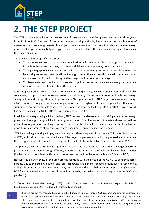

# <span id="page-6-0"></span>**2. THE STEP PROJECT**

The STEP project was delivered by a consortium of partners across nine European countries over three years, from 2019 to 2022. The aim of the project was to develop a simple, innovative and replicable model of measures to address energy poverty. The project covers some of the [countries](https://www.stepenergy.eu/partners/) with the [highest rates of energy](https://www.energypoverty.eu/)  [poverty in Europe,](https://www.energypoverty.eu/) including Bulgaria, Cyprus, Czech Republic, Latvia, Lithuania, Poland, Portugal, Slovakia and the United Kingdom.

The project had three specific objectives:

- To get consumer groups and frontline organisations, who advise people on a range of issues such as financial or health-related ones, to partner and deliver [advice](https://www.stepenergy.eu/news/) to energy poor consumers.
- To help energy poor consumers across the 9 countries save energy and improve their living standards, by advising consumers on more efficient energy consumption and how this can help them save money and improve health and well-being, and by carrying out information campaigns.
- To disseminate [best practices and advocate for policy choices](https://www.stepenergy.eu/results/) that can alleviate energy poverty, and promote their replication in other EU countries.

Over the past 3 years, STEP has focused on delivering energy saving advice to energy poor and vulnerable consumers, to support these households to reduce their energy bills and energy consumption through energy saving actions and energy efficiency improvements. The approach of the STEP project was to cascade energy advice provision through both consumer organisations and through other frontline organisations that already support low income, vulnerable consumers. This model was based on the Energy Best Deal (EBD) project, which has been running in the UK for 10 years with very positive results<sup>5</sup>.

In addition to energy saving advice provision, STEP involved the development of training materials on energy poverty and energy savings advice for energy advisors and frontline workers, the establishment of national networks of organisations working, in various contexts, with vulnerable consumers, and substantial advocacy effort to raise awareness of energy poverty and encourage required policy development.

STEP included eight work packages, each focusing on different aspects of the project. This report is an output of WP1, which aimed to ensure compliance of the project implementation with the proposal, and to evaluate the energy savings that resulted from the project, specifically from the activities undertaken under WP5.

The primary objective of Work Package 5 was to reach out to consumers in or at risk of energy poverty to provide advice on energy saving, efficiency measures and other forms of help to alleviate their situation (further detail on completed activities and consumers reached can be found in Reports D.5.3 and D5.6).

Notably, the delivery phase of the STEP project coincided with the spread of the COVID-19 pandemic across Europe. Due to the ensuing national and local lockdowns, and general concerns around face-to-face contact during this time, partners were forced to delay key activities and adapt their plans and approaches (See report D5.3 for a more detailed explanation of the actions taken by consortium partners in response to the COVID-19 pandemic).

<sup>5</sup> Centre for Sustainable Energy (CSE), 2015. Energy Best Deal - Evaluation Report, 2014/2015. CSEEBDEvaluationReport2014-15.docx.pdf (citizensadvice.org.uk)



The STEP project has received funding from the European Union's Horizon 2020 research and innovation programme under grant agreement No. 847080. The content of this document represents the authors' views only and it is their sole responsibility. It cannot be considered to reflect the views of the European Commission and/or the European Climate Infrastructure and Environment Executive Agency (CINEA). The European Commission and the Agency do not accept responsibility for the use that may be made of the information it contains.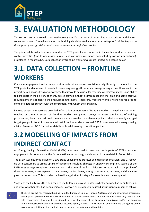

# <span id="page-7-0"></span>**3. EVALUATION METHODOLOGY**

This section sets out the evaluation methodology specific to analysis of project impacts associated with indirect consumer contact. The full evaluation methodology is elaborated in more detail in Report *D1.4 Final report on the impact of energy advice provision on consumers through direct contact*.

The primary data collection exercise under the STEP project was conducted in the context of direct consumer contact activities (one-to-one advice sessions and consumer workshops conducted by consortium partners), as detailed in report D.1.4. Data collection by frontline workers was more limited, as detailed below.

### <span id="page-7-1"></span>**3.1. DATA COLLECTION – FRONTLINE WORKERS**

Consumer engagement and advice provision via frontline workers contributed significantly to the reach of the STEP project and numbers of households receiving energy efficiency and energy saving advice. However, in the project design phase, it was acknowledged that it would be crucial for frontline workers' willingness and ability to participate in the delivery of energy advise provision, that this introduced minimal time and administrative requirements in addition to their regular commitments. Therefore, frontline workers were not required to complete detailed surveys with the consumers, with whom they engaged.

Instead, consortium partners provided information on numbers of frontline workers trained and consumers reached by them. A subset of frontline workers completed surveys to assess the impact of training programmes, how they had used them, consumers reached and demographics of their commonly engaged target groups. In total, it is estimated that frontline workers reached 8,455 consumers with energy saving advice. See report D5.6 for further detail and breakdowns by consortium partner.

### <span id="page-7-2"></span>**3.2 MODELLING OF IMPACTS FROM INDIRECT CONTACT**

An Energy Savings Evaluation Model (ESEM) was developed to measure the impacts of STEP consumer engagement. As noted above, the full evaluation methodology is elaborated in more detail in Report D1.4.

The ESEM was designed based on a two-stage engagement process: 1) initial advice provision, and 2) followup with consumers to assess uptake of advice and resulting changes in energy consumption. Stage 1 of the ESEM uses surveys completed by consumers at the time of the first advice session to establish the profile of these consumers, assess aspects of their homes, comfort levels, energy consumption, incomes, and the advice given in the sessions. This provides the baseline against which stage 2 survey data can be compared.

Stage 2 of the ESEM was then designed to use follow-up surveys to assess whether advice had been taken up, and if so, what benefits had been achieved. However, as previously discussed, insufficient numbers of follow-

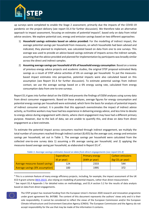

up surveys were completed to enable the Stage 2 assessment, primarily due the impacts of the COVID-19 pandemic on the project delivery (see report D1.4 for further discussion). We therefore take an alternative approach to impact assessment, focusing on estimates of *potential* impacts<sup>6</sup>, based only on data from initial advice sessions. We explore potential cost, energy and emission savings based on two different approaches:

- 1) **Household savings estimates based on advice provided:** For the modelling of indirect impact, the average potential savings per household from measures, on which households had been advised and indicated, they planned to implement, was calculated based on data from one to one surveys. This average was used to provide an advice-based savings estimate of impacts across the indirect sample, assuming that the advice provided and planned for implementation by participants was broadly similar across the direct and indirect samples.
- 2) **Assuming average savings per household of 6% of household energy consumption**: Based on a review of previous energy advice projects and academic studies, the original STEP proposal estimated likely savings as a result of STEP advice activities of 6% on average per household. To put the measuresbased impact estimates into perspective, potential impacts were also calculated based on this assumption (see Report D1.4 for further discussion). To estimate potential savings from indirect contact, we use the average savings based on a 6% energy saving rate, calculated from energy consumption data from one-to-one surveys.

Report D1.4 goes into further detail on the ESEM and presents the findings of ESEM analyses using survey data from direct consumer engagements. Based on these analyses, average figures for energy consumption and potential energy savings per household were estimated, which form the basis for analysis of potential impacts of indirect consumer contact. It is possible that this approach overestimates the impact of indirect advice activity, as frontline workers may have had less experience in delivering energy advice, and less time to devote to energy advice during engagement with clients, where client engagement may have had a different primary purpose. However, due to the lack of data, we are unable to quantify this, and draw on data from direct engagement as a best estimate.

To estimate the potential impact across consumers reached through indirect engagement, we multiply the total number of consumers reached through indirect contact (8,455) by the average cost, energy and emission savings per household, set out in [Table 1.](#page-8-0) The average savings per household were calculated from the collected one-to-one survey data 1) assuming a 6% average saving per household, and 2) applying the measures-based average saving per household, as elaborated in Report D1.4<sup>7</sup>.

<span id="page-8-0"></span>

|                                 | Expenditure<br>$(\epsilon$ pr year) | <b>Primary energy</b><br>(kWh pr year) | <b>Carbon emissions</b><br>(kg CO <sub>2</sub> pr year) |
|---------------------------------|-------------------------------------|----------------------------------------|---------------------------------------------------------|
| Average measures-based savings  | 124                                 | 2333                                   | 544                                                     |
| Average savings (6% assumption) | 100                                 | 1995                                   | 372                                                     |

| Table 1: Average savings estimates based on data from direct engagements (see report D1.4) |  |  |
|--------------------------------------------------------------------------------------------|--|--|
|                                                                                            |  |  |

<sup>&</sup>lt;sup>7</sup> See report D1.4 Appendix 1 for detailed notes on methodology, and D1.4 section 5.2 for the results of data analysis based on data from direct engagements.



The STEP project has received funding from the European Union's Horizon 2020 research and innovation programme under grant agreement No. 847080. The content of this document represents the authors' views only and it is their sole responsibility. It cannot be considered to reflect the views of the European Commission and/or the European Climate Infrastructure and Environment Executive Agency (CINEA). The European Commission and the Agency do not accept responsibility for the use that may be made of the information it contains.

<sup>&</sup>lt;sup>6</sup> This is a common feature of many energy efficiency projects, including, for example, the impact assessment of the UK ECO 4 grant scheme [\(BEIS 2022\)](https://assets.publishing.service.gov.uk/government/uploads/system/uploads/attachment_data/file/1065825/eco4-final-ia.pdf), also relying on modelling of potential impacts, rather than direct measurement.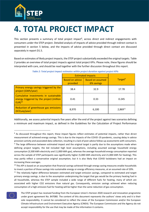

# <span id="page-9-0"></span>**4. TOTAL PROJECT IMPACT**

This section presents a summary of total project impact<sup>8</sup>, across direct and indirect engagements with consumers under the STEP project. Detailed analysis of impacts of advice provided through indirect contact is presented in section 5 below, and the impacts of advice provided through direct contact are discussed separately in report D1.5.

Based on estimates of likely project impacts, the STEP project substantially exceeded the original targets. Table 2 provides an overview of total project impacts against total project KPIs. Please note, these figures should be interpreted with care, and should be read together with the further discussion throughout this report.

|                                                                                                  | <b>Estimated impacts</b>           |                                       |                     |
|--------------------------------------------------------------------------------------------------|------------------------------------|---------------------------------------|---------------------|
|                                                                                                  | <b>Based on advice</b><br>provided | <b>Based on assumed</b><br>6% savings | Target <sup>9</sup> |
| Primary energy savings triggered by the<br>project (GWh/year)                                    | 38.4                               | 32.9                                  | 17.78               |
| Cumulative investments in sustainable<br>energy triggered by the project (million<br>$EUR)^{10}$ | 0.41                               | 0.33                                  | 0.245               |
| Reduction of greenhouse gas emissions<br>(tCO <sub>2</sub> eq/year)                              | 8,970                              | 6,100                                 | 2,86911             |

*Table 2: Total project impact estimates within project duration against project KPIs*

Additionally, we assess potential impacts five years after the end of the project against two scenarios defining a minimum and maximum impact, as defined in the Guidelines for the Calculation of Project Performance

 $11$  The relatively higher difference between estimated and target emission savings, compared to estimated and target primary energy savings, is due to the assumption underpinning the target that gas would be the primary heating fuel in all households, whereas the STEP sample included a wide range of different fuels for heating, many of which are associated with higher CO2 emissions than natural gas. Consequently, emission savings achieved when reducing consumption of a high-emission fuel for heating will be higher than the same reduction of gas consumption.



The STEP project has received funding from the European Union's Horizon 2020 research and innovation programme under grant agreement No. 847080. The content of this document represents the authors' views only and it is their sole responsibility. It cannot be considered to reflect the views of the European Commission and/or the European Climate Infrastructure and Environment Executive Agency (CINEA). The European Commission and the Agency do not accept responsibility for the use that may be made of the information it contains.

<sup>&</sup>lt;sup>8</sup> As discussed throughout this report, these impact figures reflect estimates of potential impacts, rather than direct measurement of achieved energy savings. This is due to the impacts of the COVID-19 pandemic, causing delay in advice provision activity and associated data collection, resulting in a lack of post-advice follow-up assessments with consumers. <sup>9</sup> The large difference between estimated impact and the original target is partly due to the assumptions made when defining project targets; the bid included high level assumptions, including assumed average household energy consumption (3,500 kWh electricity and 11,000 kWh gas), whereas the average household energy consumption reported across the sample of STEP participants was significantly higher (5,000 kWh electricity and 21,000 kWh for heating). This may partly reflect a conservative original assumption, but it is also likely that COVID lockdowns had an impact on increasing these averages.

 $10$  This KPI is based on an assumption that financial savings achieved through energy saving measures enable households to invest a portion of those savings into sustainable energy or energy efficiency measures, at an assumed rate of 20%.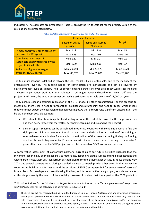

Indicators<sup>12</sup>. The estimates are presented in Table 3, against the KPI targets set for the project. Details of the calculations are presented below.

|                                                              |                                    | <b>Estimated impacts</b>              |               |  |  |
|--------------------------------------------------------------|------------------------------------|---------------------------------------|---------------|--|--|
|                                                              | <b>Based on advice</b><br>provided | <b>Based on assumed</b><br>6% savings | <b>Target</b> |  |  |
| Primary energy savings triggered by                          | Min: 128                           | Min: 110                              | Min: 65       |  |  |
| the project (GWh/year)                                       | Max: 345                           | Max: 295                              | Max: 176      |  |  |
| Cumulative investments in                                    | Min: 1.37                          | Min: 1.1                              | Min: 0.9      |  |  |
| sustainable energy triggered by the<br>project (million EUR) | Max: 3.69                          | Max: 2.96                             | Max: $2.4$    |  |  |
| Reduction of greenhouse gas                                  | Min: 29,940                        | Min 20,470                            | Min 10,520    |  |  |
| emissions $(tCO2 - eq/year)$                                 | Max: 80,570                        | Max 55,090                            | Max 28,400    |  |  |

#### *Table 3: Potential impacts 5 years after the end of the project*

The Minimum scenario is defined as follows: the STEP model is highly sustainable, due to the stability of the organizations involved. The funding needs for continuation are manageable and can be covered by existing/modest levels of support. The STEP consortium and partners involved are already well established and are based on permanent staff rather than volunteers, reducing turnover and need for retraining staff. With the project in full swing, the annual consumer outreach is estimated at a stable average of 11,000 per year.

The Maximum scenario assumes replication of the STEP model by other organisations. For this scenario to materialise, there is still a need for preparation, political and cultural shift, and need for funds, which means that we cannot expect the expansion to happen overnight. As these drivers raise significant uncertainties, the below is the best possible estimate:

- We estimate that there is a potential doubling in size at the end of the project in the target countries and then every three years thereafter, by repeating training and expanding the network.
- Similar support schemes can be established in other EU countries with some initial work to find the right partners, initial assessment of local circumstances and with minor adaptation of the training. A reasonable estimate, in view for example of the timelines of this project including finding the funding – is that this could happen in five EU countries, with impact on consumers starting to materialize 2 years after the end of the STEP project and a total outreach of 5,500 consumers per year.

A conservative assessment of consortium partners' current plans for future activities suggests that the minimum scenario may be the most likely to materialise, depending on the success of funding applications and wider partnerships. Most STEP consortium partners plan to continue their advice activity in-house beyond May 2022, and several partners are exploring extended and new partnerships with other actors in their respective countries, to build on and further extend the activities of STEP (see Appendix 1 for an overview of partners' future plans). Partnerships are currently being finalised, and future activities being scoped, as such, we cannot at this stage quantify the level of future activity. However, it is clear that the impact of the STEP project is

<sup>12</sup> EASME. Guidelines for the Calculation of Project Performance Indicators. https://ec.europa.eu/easme/sites/easmesite/files/guidelines-for-the-calculation-of-performance-indicators.pdf



The STEP project has received funding from the European Union's Horizon 2020 research and innovation programme under grant agreement No. 847080. The content of this document represents the authors' views only and it is their sole responsibility. It cannot be considered to reflect the views of the European Commission and/or the European Climate Infrastructure and Environment Executive Agency (CINEA). The European Commission and the Agency do not accept responsibility for the use that may be made of the information it contains.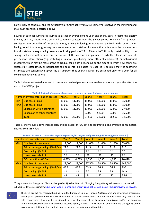

highly likely to continue, and the actual level of future activity may fall somewhere between the minimum and maximum scenarios described above.

Savings of each consumer are assumed to last for an average of one year, and energy costs in real terms, energy savings, and  $CO<sub>2</sub>$  intensity are assumed to remain constant over the 5-year period. Evidence from previous studies on the durability of household energy savings following interventions is mixed, with some studies having found that energy saving behaviours were not sustained for more than a few months, while others found sustained energy savings over a monitoring period of 24 to 29 months<sup>13</sup>. Notably, sustainability of the savings achieved will depend on the nature of the measures implemented, whether these are one-off permanent interventions (e.g. installing insulation, purchasing more efficient appliances), or behavioural measures, which may be more prone to gradual tailing off, depending on the extent to which new habits are successfully established, or households fall back into old habits. As such, it is possible that the following estimates are conservative, given the assumption that energy savings are sustained only for a year for all consumers receiving advice.

Table 4 shows estimated number of consumers reached per year under each scenario, until year five after the end of the STEP project.

|            | Number of years after end of project | Year 1 | Year 2 | Year <sub>3</sub> | Year 4 | Year <sub>5</sub> | Total   |
|------------|--------------------------------------|--------|--------|-------------------|--------|-------------------|---------|
| <b>MIN</b> | <b>Business as usual</b>             | 11,000 | 11,000 | 11,000            | 11,000 | 11,000            | 55,000  |
| <b>MAX</b> | <b>Business as usual</b>             | 11,000 | 11,000 | 11,000            | 11,000 | 11,000            | 55,000  |
|            | <b>Expansion within countries</b>    | 11,000 | 11,000 | 11,000            | 22,000 | 22,000            | 77,000  |
|            | <b>Expansion to other countries</b>  |        |        | 5,500             | 5,500  | 5,500             | 16,500  |
|            | Total                                | 22,000 | 22,000 | 27,500            | 38,500 | 38,500            | 148,500 |

*Table 4: Estimated number of consumers reached per year (min and max scenarios)*

Table 5 shows cumulative impact calculations based on 6% savings assumption and average consumption figures from STEP data.

|            | Number of years after end of project  | Year 1 | Year 2 | Year <sub>3</sub> | Year 4 | Year <sub>5</sub> | <b>Total</b> |
|------------|---------------------------------------|--------|--------|-------------------|--------|-------------------|--------------|
| <b>MIN</b> | <b>Number of consumers</b>            | 11,000 | 11,000 | 11,000            | 11,000 | 11,000            | 55,000       |
|            | Primary energy savings (GWh/yr)       | 21.9   | 21.9   | 21.9              | 21.9   | 21.9              | 110          |
|            | <b>Cost savings (M EUR)</b>           | 1.1    | 1.1    | 1.1               | 1.1    | 1.1               | 5.5          |
|            | <b>Investments (M EUR)</b>            | .22    | .22    | .22               | .22    | .22               | 1.1          |
|            | $CO2$ reductions (tCO <sub>2</sub> e) | 4,095  | 4,095  | 4,095             | 4,095  | 4,095             | 20,470       |
| <b>MAX</b> | <b>Number of consumers</b>            | 22,000 | 22,000 | 27,500            | 38,500 | 38,500            | 148,500      |
|            | Primary energy savings (GWh/yr)       | 43.9   | 43.9   | 53.9              | 76.8   | 76.8              | 295          |
|            | <b>Cost savings (M EUR)</b>           | 2.2    | 2.2    | 2.7               | 3.9    | 3.9               | 14.9         |
|            | <b>Investments (M EUR)</b>            | .44    | .44    | .54               | .77    | .77               | 2.96         |

*Table 5: Estimated cumulative impact to year 5 after project end (assuming 6% saving per household)*

<sup>13</sup> Department for Energy and Climate Change (2012). What Works in Changing Energy Using Behaviours in the Home? A Rapid Evidence Assessment[. 6921-what-works-in-changing-energyusing-behaviours-in-.pdf \(publishing.service.gov.uk\).](https://assets.publishing.service.gov.uk/government/uploads/system/uploads/attachment_data/file/69797/6921-what-works-in-changing-energyusing-behaviours-in-.pdf)

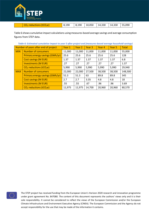

| $\vert$ CO <sub>2</sub> reductions (tCO <sub>2</sub> e) | $-18,190$ |  |  |  |
|---------------------------------------------------------|-----------|--|--|--|
|                                                         |           |  |  |  |

Table 6 shows cumulative impact calculations using measures-based average savings and average consumption figures from STEP data.

|            | , which is community and manufactured in power to your bingles of projects on a problem who was now but made i |        |        |                   |                   |                   |              |
|------------|----------------------------------------------------------------------------------------------------------------|--------|--------|-------------------|-------------------|-------------------|--------------|
|            | Number of years after end of project                                                                           | Year 1 | Year 2 | Year <sub>3</sub> | Year <sub>4</sub> | Year <sub>5</sub> | <b>Total</b> |
| <b>MIN</b> | <b>Number of consumers</b>                                                                                     | 11,000 | 11,000 | 11,000            | 11,000            | 11,000            | 55,000       |
|            | Primary energy savings (GWh/yr)                                                                                | 25.6   | 25.6   | 25.6              | 25.6              | 25.6              | 128          |
|            | <b>Cost savings (M EUR)</b>                                                                                    | 1.37   | 1.37   | 1.37              | 1.37              | 1.37              | 6.8          |
|            | <b>Investments (M EUR)</b>                                                                                     | .27    | .27    | .27               | .27               | .27               | 1.37         |
|            | $CO2$ reductions (tCO <sub>2</sub> e)                                                                          | 5,990  | 5,990  | 5,990             | 5,990             | 5,990             | 29,940       |
| <b>MAX</b> | <b>Number of consumers</b>                                                                                     | 22,000 | 22,000 | 27,500            | 38,500            | 38,500            | 148,500      |
|            | Primary energy savings (GWh/yr)                                                                                | 51.3   | 51.3   | 63                | 89.8              | 89.8              | 345          |
|            | <b>Cost savings (M EUR)</b>                                                                                    | 2.7    | 2.7    | 3.35              | 4.8               | 4.8               | 18           |
|            | <b>Investments (M EUR)</b>                                                                                     | .55    | .55    | .67               | .96               | .96               | 3.69         |
|            | $CO2$ reductions (tCO <sub>2</sub> e)                                                                          | 11,975 | 11,975 | 14,700            | 20,960            | 20,960            | 80,570       |

*Table 6: Estimated cumulative impact to year 5 after project end (measures-based average household savings)*

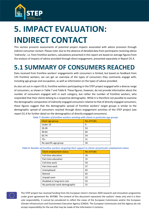

# <span id="page-13-0"></span>**5. IMPACT EVALUATION: INDIRECT CONTACT**

This section presents assessments of potential project impacts associated with advice provision through indirect consumer contact. Please note: due to the absence of detailed data from participants receiving advice 'indirectly', i.e. from frontline workers, calculations presented in this report are based on average figures from the analysis of impacts of advice provided through direct engagement, presented separately in Report D1.4.

### <span id="page-13-1"></span>**5.1 SUMMARY OF CONSUMERS REACHED**

Data received from frontline workers' engagements with consumers is limited, but based on feedback from 143 frontline workers, we can get an overview of the types of consumers they commonly engage with, including age groups and occupation, as well as information on the types of advice provided.

As also set out in report D5.6, frontline workers participating in the STEP project engaged with a diverse range of consumers, as shown in Table 7 and Table 8. These figures, however, do not provide information about the number of consumers engaged with in each category, but rather the number of frontline workers, who responded that their clients belong to a respective demographic. While it is therefore not possible to examine the demographic composition of indirectly engaged consumers relative to that of directly engaged consumers, these figures suggest that the demographic spread of frontline workers' target groups is similar to the demographic spread of consumers reached through direct engagement activities of the STEP project (see report D1.4 for further detail on the demographics of directly engaged consumers).

| <b>Client age group</b> | No of FLWs |
|-------------------------|------------|
| Under 19                | 9          |
| 20-39                   | 53         |
| 40-64                   | 83         |
| 65-74                   | 54         |
| $75+$                   | 21         |
| No specific age group   | 34         |

*Table 7: Number of frontline workers working with clients in particular age groups*

*Table 8: Number of frontline workers targeting their support to clients of particular employment status*

| <b>Client employment status</b> | No of FLWs |
|---------------------------------|------------|
| <b>Full time education</b>      | 16         |
| Part time education             | 15         |
| Full time work                  | 54         |
| Part time work                  | 37         |
| Unemployed                      | 63         |
| Retired                         | 65         |
| Unpaid carer                    | 22         |
| Disabled or long-term sick      | 53         |
| No particular work demographic  | 31         |

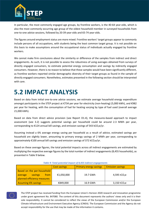

In particular, the most commonly engaged age groups, by frontline workers, is the 40-64 year-olds, which is also the most commonly occurring age group of the oldest household member in surveyed households from one-to-one advice sessions, followed by 20-39 year-olds and 65-74 year-olds.

The figures around employment status are more mixed. Frontline workers' target groups appear to commonly include persons of all occupations, with students being the least common target group. It is not possible on this basis to make assumptions around the occupational status of individuals actually engaged by frontline workers.

We cannot make firm conclusions about the similarity or difference of the samples from indirect and direct engagements. As such, it is not possible to assess the robustness of using averages obtained from surveys of directly engaged consumers, to estimate potential energy consumption and savings by indirectly engaged consumers. However, there is no reason to believe that these samples would have been significantly different, as frontline workers reported similar demographic diversity of their target groups as found in the sample of directly engaged consumers. Nonetheless, estimates presented in the following section should be interpreted with care.

### <span id="page-14-0"></span>**5.2 IMPACT ANALYSIS**

Based on data from initial one-to-one advice sessions, we estimate average household energy expenditure amongst participants in the STEP project at €734 per year for electricity (non-heating) (5,000 kWh), and €982 per year for heating, with the consumption of fuel for heating varying by type of fuel used (overall average 21,000 kWh).

Based on data from direct advice provision (see Report D1.4), the measures-based approach to impact assessment (see 3.2) suggests potential savings per household could be around 2.3 MWh per year, corresponding to  $E124$  annual bill savings, and emission savings of 543 kCO<sub>2</sub>e/yr.

Assuming instead a 6% average energy saving per household as a result of advice, estimated savings per household are slightly lower, amounting to primary energy savings of 2 MWh per year, corresponding to approximately  $\epsilon$ 100 annual bill savings and emission savings of 372 kCO<sub>2</sub>e/yr.

Based on these average figures, the total potential impacts across all indirect engagements are estimated by multiplying the respective average figures by the total number of indirect engagements (8,455 households), as presented in Table 9 below.

|                                   | <b>Cost savings</b> | <b>Primary energy savings</b> | <b>Emission savings</b>    |
|-----------------------------------|---------------------|-------------------------------|----------------------------|
| Based on the per-household        |                     |                               |                            |
| from<br><b>savings</b><br>average | €1,050,000          | 19.7 GWh                      | 4,595 tCO <sub>2</sub> e   |
| planned efficiency measures       |                     |                               |                            |
| <b>Assuming 6% savings</b>        | €849,000            | 16.9 GWh                      | $3,150$ tCO <sub>2</sub> e |

#### *Table 9: Total potential impact of 8,455 indirect engagements*

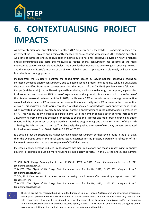

# <span id="page-15-0"></span>**6. CONTEXTUALISING PROJECT IMPACTS**

As previously discussed, and elaborated in other STEP project reports, the COVID-19 pandemic impacted the delivery of the STEP project, and significantly changed the social context within which STEP partners operated. At a time of increased energy consumption in homes due to national lockdowns, advice on how to manage energy consumption and costs and measures to reduce energy consumption has become all the more important to support vulnerable households. This is only further exacerbated by the ongoing energy price crisis and the impacts of Russia's invasion of Ukraine on global oil and gas prices, which ultimately will push more households into energy poverty.

Insights from the UK clearly illustrate the added strain caused by COVID-induced lockdowns leading to increased domestic energy consumption, due to people spending more time at home. While no equivalent data was identified from other partner countries, the impacts of the COVID-19 pandemic were felt across Europe (and the world), and will have impacted households, and household energy consumption, in particular, in all countries, and based on STEP partners' experiences on the ground, this is understood to be reflective of the situation across all partner countries. In 2020, the UK saw a 2.3% increase in domestic energy consumption overall, which included a 4% increase in the consumption of electricity and a 2% increase in the consumption of gas<sup>14</sup>. This occurred despite warmer weather, which is usually associated with lower energy demand. Thus, when corrected for annual average temperature, domestic energy demand is estimated to have increased by 6%<sup>15</sup>. This was caused by increased cooking at home, with the number of meals eaten at home increasing by 38%; working from home and the need for people to charge their laptops and monitors; children being out of school; and the direct impact of people watching more live programming, and the indirect effects of this – such as having the lights on and making tea<sup>16</sup>. Collectively, this pushed the share of electricity demand accounted for by domestic users from 30% in 2019 to 32.7% in 2020 $^{17}$ .

It is possible that the substantially higher average energy consumption per household found in the STEP data, than the averages used in the initial target setting exercises for the project, is partially a reflection of this increase in energy demand as a consequence of COVID lockdowns.

Increased energy demand induced by lockdowns has had implications for those already living in energy poverty, in addition to pushing more households into energy poverty. In the UK, the Energy and Climate

<sup>&</sup>lt;sup>17</sup> DUKES 2020. Digest of UK Energy Statistics Annual data for the UK, 2020, DUKES 2021 Chapters 1 to 7 (publishing.service.gov.uk)



The STEP project has received funding from the European Union's Horizon 2020 research and innovation programme under grant agreement No. 847080. The content of this document represents the authors' views only and it is their sole responsibility. It cannot be considered to reflect the views of the European Commission and/or the European Climate Infrastructure and Environment Executive Agency (CINEA). The European Commission and the Agency do not accept responsibility for the use that may be made of the information it contains.

<sup>&</sup>lt;sup>14</sup> BEIS, 2021. Energy Consumption in the UK (ECUK) 1970 to 2020. Energy Consumption in the UK 2021 (publishing.service.gov.uk)

<sup>15</sup> DUKES 2020. Digest of UK Energy Statistics Annual data for the UK, 2020, DUKES 2021 Chapters 1 to 7 (publishing.service.gov.uk)

<sup>&</sup>lt;sup>16</sup> E.On, 2021. E.on's review of consumer demand increasing. How lockdown affects electricity usage at home | E.ON (eonenergy.com)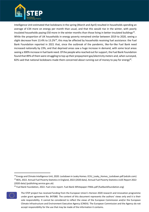

Intelligence Unit estimated that lockdowns in the spring (March and April) resulted in households spending an average of £34 more on energy per month than usual, and that this would rise in the winter, with poorly insulated households paying £50 more in the winter months than those living in better-insulated buildings $^{18}$ . While the proportion of UK households in energy poverty remained similar between 2019 to 2020, seeing a slight decrease from 13.4% to 13.2%<sup>19</sup>, this may be affected by households receiving fuel assistance: the Fuel Bank Foundation reported in 2021 that, since the outbreak of the pandemic, like-for-like Fuel Bank need increased nationally by 23%, and that deprived areas saw a huge increase in demand, with some local areas seeing a 300% increase in fuel bank need. Of the people who reached out for support, the Fuel Bank Foundation found that 89% of them were struggling to top up their prepayment gas/electricity meters and, when surveyed, 82% said that national lockdowns made them concerned about running out of money to pay for energy<sup>20</sup>.

<sup>&</sup>lt;sup>20</sup> Fuel Bank Foundation, 2022. Fuel crisis report. Fuel-Bank-Whitepaper-FINAL.pdf (fuelbankfoundation.org)



The STEP project has received funding from the European Union's Horizon 2020 research and innovation programme under grant agreement No. 847080. The content of this document represents the authors' views only and it is their sole responsibility. It cannot be considered to reflect the views of the European Commission and/or the European Climate Infrastructure and Environment Executive Agency (CINEA). The European Commission and the Agency do not accept responsibility for the use that may be made of the information it contains.

<sup>18</sup> Energy and Climate Intelligence Unit, 2020. Lockdown in Leaky Homes. ECIU\_Leaky\_Homes\_Lockdown.pdf (edcdn.com) <sup>19</sup> BEIS, 2022. Annual Fuel Poverty Statistics in England, 2022 (2020 data). Annual Fuel Poverty Statistics LILEE Report 2022 (2020 data) (publishing.service.gov.uk)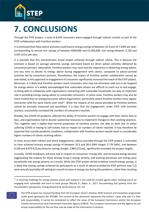

# <span id="page-17-0"></span>**7. CONCLUSIONS**

Through the STEP project, a total of 8,455 consumers were engaged through indirect contact as part of the STEP collaboration with frontline workers.

It is estimated that these advice activities could lead to energy savings of between 16.9 and 19.7 GWh per year, corresponding to annual cost savings of between €849,000 and €1,050,000, and saving between 3,150 and  $4,595$  tCO<sub>2</sub>e per year.

It is possible that this overestimates actual impact achieved through indirect advice. This is because the estimate is based on average potential savings estimated based on direct advice activities delivered by consortium partners. Meanwhile, frontline workers may have had less experience in delivering energy advice, and less time to devote to energy advice during engagement with clients, compared to advice-centred activities led by consortium partners. Nonetheless, the impact of frontline worker collaboration cannot be overstated, as this approach to engagement of consumerssignificantly increased the reach of the STEP project. Moreover, it is likely that frontline workers reach consumers who may not otherwise seek out or be targeted for energy advice. It is widely acknowledged that vulnerable citizens are difficult to reach out to and engage, so being able to collaborate with organisations interacting with vulnerable households can play an important role in providing energy saving advice to vulnerable consumers. In some cases, frontline workers may also be more trusted than an energy/consumer advice organisation, particularly where frontline workers have regular interaction with the same clients over time<sup>21</sup>. While the impacts of the advice provided by frontline workers cannot be precisely measured and quantified, it is clear that the engagement, under STEP, with frontline workers, successfully increased the numbers of consumers reached.

Notably, the COVID-19 pandemic affected the ability of frontline workers to engage with their clients face to face, and organisations had to devote substantial resources to implement changes to their working practices. This, together with a higher-than-normal proportion of frontline workers not able to work due to either suffering COVID or having to self-isolate, had an impact on numbers of clients reached. It may therefore be expected that outside pandemic conditions, collaboration with frontline workers would result in considerably higher numbers of clients receiving advice.

In total, across both indirect and direct engagements, advice provided through the STEP project is estimated to have achieved primary energy savings of between 32.9 and 38.4 GWh (target 17.78 GWh), and between 6,100 and 8,970 tCO<sub>2</sub>eq emission savings (target: 2,869 tCO<sub>2</sub>eq), significantly exceeded the project targets.

Crucially, COVID lockdowns will have had an impact on consumers' energy bills, and increased energy poverty (aggravating the impacts for those already living in energy poverty, and pushing previously non energy poor households into energy poverty as a result). While the STEP project aimed to deliver overall energy savings, it is likely that energy savings achieved by participants as a result of advice provided by STEP partners (see 5.2) were actually (partially) off-setting an overall increase in energy use during the pandemic, rather than resulting

 $21$  A recurring challenge for energy poverty action and research is the need for trusted agents when reaching out to an engaging with vulnerable and hard to reach groups (Mould, R.; Baker, K., 2017. Documenting fuel poverty from the householders' perspective. Energy Research & Social Science, Vol. 31).



The STEP project has received funding from the European Union's Horizon 2020 research and innovation programme under grant agreement No. 847080. The content of this document represents the authors' views only and it is their sole responsibility. It cannot be considered to reflect the views of the European Commission and/or the European Climate Infrastructure and Environment Executive Agency (CINEA). The European Commission and the Agency do not accept responsibility for the use that may be made of the information it contains.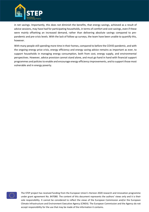

in net savings. Importantly, this does not diminish the benefits, that energy savings, achieved as a result of advice sessions, may have had for participating households, in terms of comfort and cost savings, even if these were mainly offsetting an increased demand, rather than delivering absolute savings compared to prepandemic and pre-crisis levels. With the lack of follow up surveys, the team have been unable to quantify this, however.

With many people still spending more time in their homes, compared to before the COVID pandemic, and with the ongoing energy price crisis, energy efficiency and energy saving advice remains as important as ever, to support households in managing energy consumption, both from cost, energy supply, and environmental perspectives. However, advice provision cannot stand alone, and must go hand in hand with financial support programmes and policies to enable and encourage energy efficiency improvements, and to support those most vulnerable and in energy poverty.